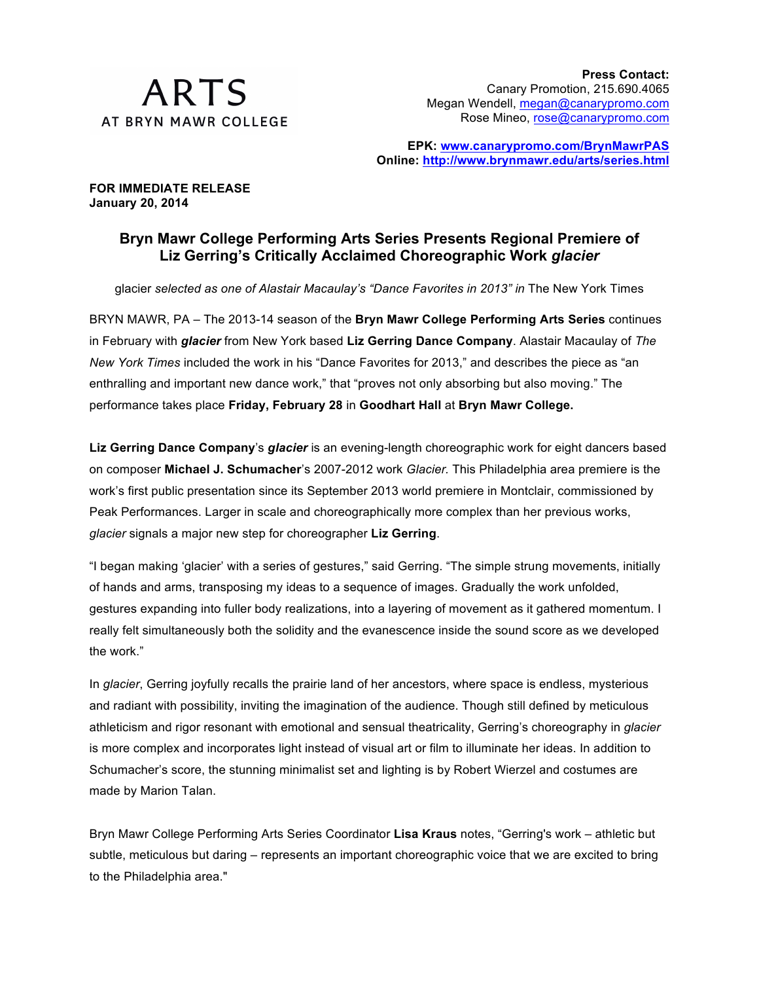

**EPK: www.canarypromo.com/BrynMawrPAS Online: http://www.brynmawr.edu/arts/series.html**

**FOR IMMEDIATE RELEASE January 20, 2014**

## **Bryn Mawr College Performing Arts Series Presents Regional Premiere of Liz Gerring's Critically Acclaimed Choreographic Work** *glacier*

glacier *selected as one of Alastair Macaulay's "Dance Favorites in 2013" in* The New York Times

BRYN MAWR, PA – The 2013-14 season of the **Bryn Mawr College Performing Arts Series** continues in February with *glacier* from New York based **Liz Gerring Dance Company**. Alastair Macaulay of *The New York Times* included the work in his "Dance Favorites for 2013," and describes the piece as "an enthralling and important new dance work," that "proves not only absorbing but also moving." The performance takes place **Friday, February 28** in **Goodhart Hall** at **Bryn Mawr College.**

**Liz Gerring Dance Company**'s *glacier* is an evening-length choreographic work for eight dancers based on composer **Michael J. Schumacher**'s 2007-2012 work *Glacier.* This Philadelphia area premiere is the work's first public presentation since its September 2013 world premiere in Montclair, commissioned by Peak Performances. Larger in scale and choreographically more complex than her previous works, *glacier* signals a major new step for choreographer **Liz Gerring**.

"I began making 'glacier' with a series of gestures," said Gerring. "The simple strung movements, initially of hands and arms, transposing my ideas to a sequence of images. Gradually the work unfolded, gestures expanding into fuller body realizations, into a layering of movement as it gathered momentum. I really felt simultaneously both the solidity and the evanescence inside the sound score as we developed the work."

In *glacier*, Gerring joyfully recalls the prairie land of her ancestors, where space is endless, mysterious and radiant with possibility, inviting the imagination of the audience. Though still defined by meticulous athleticism and rigor resonant with emotional and sensual theatricality, Gerring's choreography in *glacier* is more complex and incorporates light instead of visual art or film to illuminate her ideas. In addition to Schumacher's score, the stunning minimalist set and lighting is by Robert Wierzel and costumes are made by Marion Talan.

Bryn Mawr College Performing Arts Series Coordinator **Lisa Kraus** notes, "Gerring's work – athletic but subtle, meticulous but daring – represents an important choreographic voice that we are excited to bring to the Philadelphia area."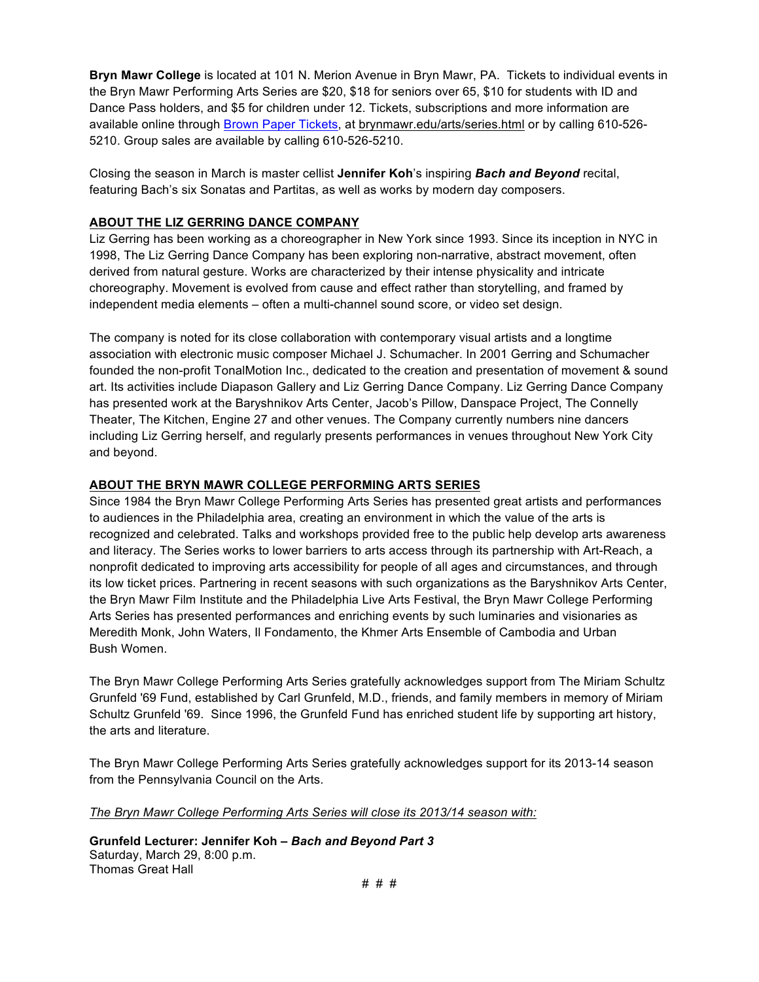**Bryn Mawr College** is located at 101 N. Merion Avenue in Bryn Mawr, PA. Tickets to individual events in the Bryn Mawr Performing Arts Series are \$20, \$18 for seniors over 65, \$10 for students with ID and Dance Pass holders, and \$5 for children under 12. Tickets, subscriptions and more information are available online through Brown Paper Tickets, at brynmawr.edu/arts/series.html or by calling 610-526- 5210. Group sales are available by calling 610-526-5210.

Closing the season in March is master cellist **Jennifer Koh**'s inspiring *Bach and Beyond* recital, featuring Bach's six Sonatas and Partitas, as well as works by modern day composers.

## **ABOUT THE LIZ GERRING DANCE COMPANY**

Liz Gerring has been working as a choreographer in New York since 1993. Since its inception in NYC in 1998, The Liz Gerring Dance Company has been exploring non-narrative, abstract movement, often derived from natural gesture. Works are characterized by their intense physicality and intricate choreography. Movement is evolved from cause and effect rather than storytelling, and framed by independent media elements – often a multi-channel sound score, or video set design.

The company is noted for its close collaboration with contemporary visual artists and a longtime association with electronic music composer Michael J. Schumacher. In 2001 Gerring and Schumacher founded the non-profit TonalMotion Inc., dedicated to the creation and presentation of movement & sound art. Its activities include Diapason Gallery and Liz Gerring Dance Company. Liz Gerring Dance Company has presented work at the Baryshnikov Arts Center, Jacob's Pillow, Danspace Project, The Connelly Theater, The Kitchen, Engine 27 and other venues. The Company currently numbers nine dancers including Liz Gerring herself, and regularly presents performances in venues throughout New York City and beyond.

## **ABOUT THE BRYN MAWR COLLEGE PERFORMING ARTS SERIES**

Since 1984 the Bryn Mawr College Performing Arts Series has presented great artists and performances to audiences in the Philadelphia area, creating an environment in which the value of the arts is recognized and celebrated. Talks and workshops provided free to the public help develop arts awareness and literacy. The Series works to lower barriers to arts access through its partnership with Art-Reach, a nonprofit dedicated to improving arts accessibility for people of all ages and circumstances, and through its low ticket prices. Partnering in recent seasons with such organizations as the Baryshnikov Arts Center, the Bryn Mawr Film Institute and the Philadelphia Live Arts Festival, the Bryn Mawr College Performing Arts Series has presented performances and enriching events by such luminaries and visionaries as Meredith Monk, John Waters, Il Fondamento, the Khmer Arts Ensemble of Cambodia and Urban Bush Women.

The Bryn Mawr College Performing Arts Series gratefully acknowledges support from The Miriam Schultz Grunfeld '69 Fund, established by Carl Grunfeld, M.D., friends, and family members in memory of Miriam Schultz Grunfeld '69. Since 1996, the Grunfeld Fund has enriched student life by supporting art history, the arts and literature.

The Bryn Mawr College Performing Arts Series gratefully acknowledges support for its 2013-14 season from the Pennsylvania Council on the Arts.

*The Bryn Mawr College Performing Arts Series will close its 2013/14 season with:*

**Grunfeld Lecturer: Jennifer Koh –** *Bach and Beyond Part 3* Saturday, March 29, 8:00 p.m. Thomas Great Hall